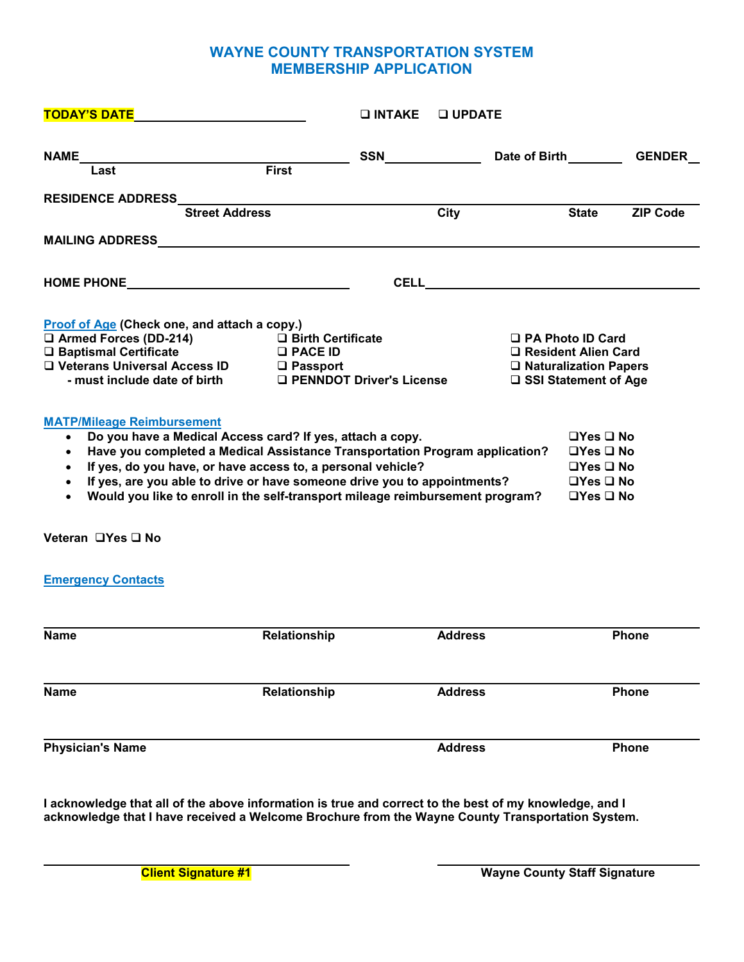# **WAYNE COUNTY TRANSPORTATION SYSTEM MEMBERSHIP APPLICATION**

| TODAY'S DATE __________________________                                                                                                                                                                                                                                                                                                                                                                                                                                    |                                          | $\square$ INTAKE | $\Box$ UPDATE |                                                                                                  |                                                                                                                      |                      |
|----------------------------------------------------------------------------------------------------------------------------------------------------------------------------------------------------------------------------------------------------------------------------------------------------------------------------------------------------------------------------------------------------------------------------------------------------------------------------|------------------------------------------|------------------|---------------|--------------------------------------------------------------------------------------------------|----------------------------------------------------------------------------------------------------------------------|----------------------|
|                                                                                                                                                                                                                                                                                                                                                                                                                                                                            |                                          |                  |               |                                                                                                  |                                                                                                                      | Date of Birth GENDER |
|                                                                                                                                                                                                                                                                                                                                                                                                                                                                            |                                          |                  |               |                                                                                                  |                                                                                                                      |                      |
| RESIDENCE ADDRESS<br>Street Address<br>City                                                                                                                                                                                                                                                                                                                                                                                                                                |                                          |                  |               |                                                                                                  |                                                                                                                      |                      |
|                                                                                                                                                                                                                                                                                                                                                                                                                                                                            |                                          |                  |               |                                                                                                  | <b>State</b>                                                                                                         | <b>ZIP Code</b>      |
|                                                                                                                                                                                                                                                                                                                                                                                                                                                                            |                                          |                  |               |                                                                                                  |                                                                                                                      |                      |
|                                                                                                                                                                                                                                                                                                                                                                                                                                                                            |                                          |                  |               |                                                                                                  |                                                                                                                      |                      |
|                                                                                                                                                                                                                                                                                                                                                                                                                                                                            |                                          |                  |               |                                                                                                  |                                                                                                                      |                      |
| Proof of Age (Check one, and attach a copy.)<br>$\Box$ Armed Forces (DD-214)<br>$\square$ Baptismal Certificate<br>□ Veterans Universal Access ID □ Passport                                                                                                                                                                                                                                                                                                               | □ Birth Certificate<br>$\square$ PACE ID |                  |               | □ PA Photo ID Card<br>□ Resident Alien Card<br>□ Naturalization Papers<br>□ SSI Statement of Age |                                                                                                                      |                      |
| <b>MATP/Mileage Reimbursement</b><br>Do you have a Medical Access card? If yes, attach a copy.<br>$\bullet$<br>Have you completed a Medical Assistance Transportation Program application?<br>$\bullet$<br>If yes, do you have, or have access to, a personal vehicle?<br>$\bullet$<br>If yes, are you able to drive or have someone drive you to appointments?<br>$\bullet$<br>Would you like to enroll in the self-transport mileage reimbursement program?<br>$\bullet$ |                                          |                  |               |                                                                                                  | $\Box$ Yes $\Box$ No<br>$\Box$ Yes $\Box$ No<br>$\Box$ Yes $\Box$ No<br>$\Box$ Yes $\Box$ No<br>$\Box$ Yes $\Box$ No |                      |
| Veteran □Yes □ No                                                                                                                                                                                                                                                                                                                                                                                                                                                          |                                          |                  |               |                                                                                                  |                                                                                                                      |                      |
| <b>Emergency Contacts</b>                                                                                                                                                                                                                                                                                                                                                                                                                                                  |                                          |                  |               |                                                                                                  |                                                                                                                      |                      |

| <b>Name</b>             | Relationship | <b>Address</b> | Phone |
|-------------------------|--------------|----------------|-------|
|                         |              |                |       |
| <b>Name</b>             | Relationship | <b>Address</b> | Phone |
| <b>Physician's Name</b> |              | <b>Address</b> | Phone |

**I acknowledge that all of the above information is true and correct to the best of my knowledge, and I acknowledge that I have received a Welcome Brochure from the Wayne County Transportation System.**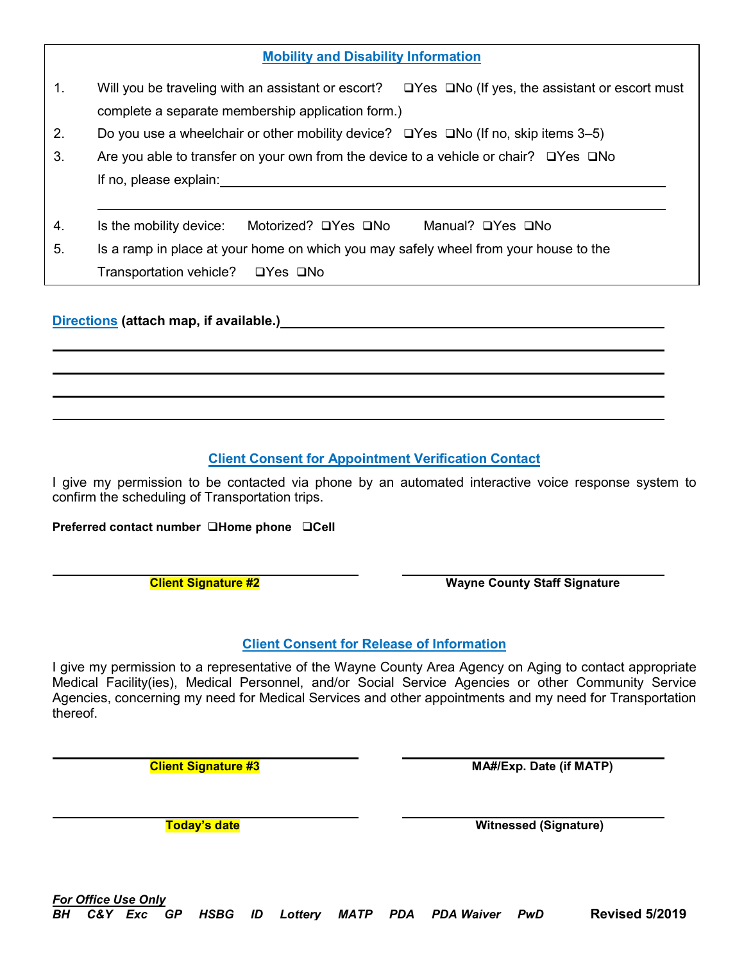| BH | <b>For Office Use Only</b> | C&Y Exc GP |  |  |  | HSBG ID Lottery MATP PDA PDAWaiver PwD | <b>Revised 5/2019</b> |
|----|----------------------------|------------|--|--|--|----------------------------------------|-----------------------|
|    |                            |            |  |  |  |                                        |                       |

|    | <b>Mobility and Disability Information</b>                                                                                                                                                                                    |
|----|-------------------------------------------------------------------------------------------------------------------------------------------------------------------------------------------------------------------------------|
| 1. | Will you be traveling with an assistant or escort? $\square$ Yes $\square$ No (If yes, the assistant or escort must                                                                                                           |
|    | complete a separate membership application form.)                                                                                                                                                                             |
| 2. | Do you use a wheelchair or other mobility device? $\Box$ Yes $\Box$ No (If no, skip items 3–5)                                                                                                                                |
| 3. | Are you able to transfer on your own from the device to a vehicle or chair? $\Box$ Yes $\Box$ No                                                                                                                              |
|    | If no, please explain: The state of the state of the state of the state of the state of the state of the state of the state of the state of the state of the state of the state of the state of the state of the state of the |
| 4. | Is the mobility device:<br>Motorized? □Yes □No<br>Manual? □Yes □No                                                                                                                                                            |
| 5. | Is a ramp in place at your home on which you may safely wheel from your house to the                                                                                                                                          |
|    | Transportation vehicle? □ Yes □ No                                                                                                                                                                                            |

## **Directions (attach map, if available.)**

# **Client Consent for Appointment Verification Contact**

I give my permission to be contacted via phone by an automated interactive voice response system to confirm the scheduling of Transportation trips.

**Preferred contact number Home phone Cell**

**Client Signature #2 Wayne County Staff Signature** 

### **Client Consent for Release of Information**

I give my permission to a representative of the Wayne County Area Agency on Aging to contact appropriate Medical Facility(ies), Medical Personnel, and/or Social Service Agencies or other Community Service Agencies, concerning my need for Medical Services and other appointments and my need for Transportation thereof.

**Client Signature #3 MA#/Exp. Date (if MATP)** 

**Today's date Witnessed (Signature)**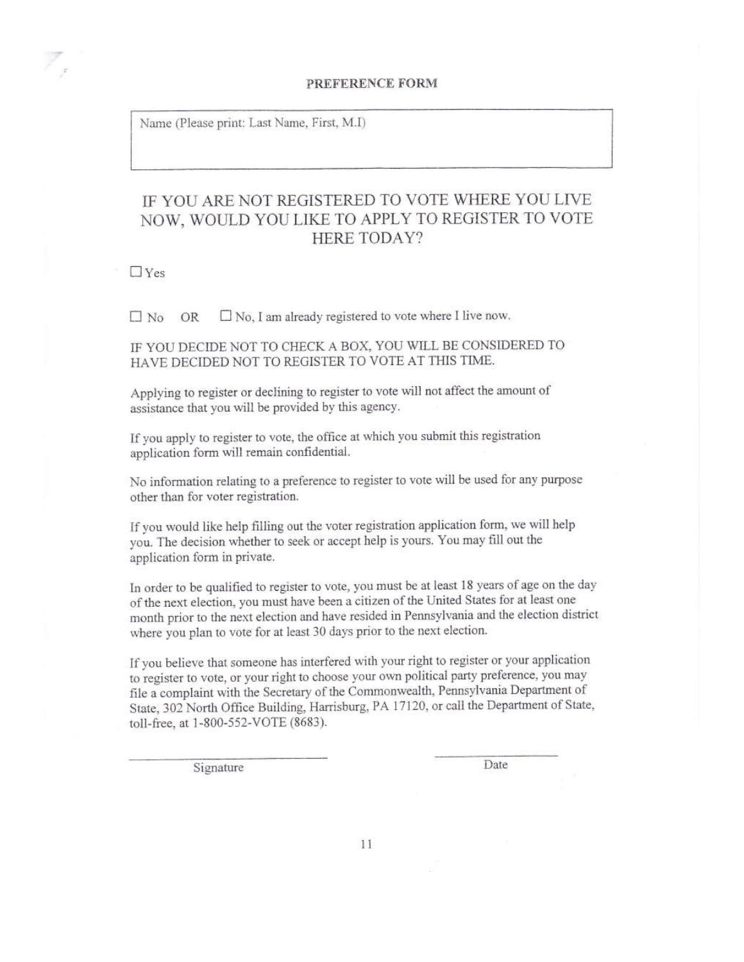#### PREFERENCE FORM

Name (Please print: Last Name, First, M.I)

# IF YOU ARE NOT REGISTERED TO VOTE WHERE YOU LIVE NOW, WOULD YOU LIKE TO APPLY TO REGISTER TO VOTE **HERE TODAY?**

 $\Box$  Yes

 $\Box$  No, I am already registered to vote where I live now.  $\Box$  No OR

IF YOU DECIDE NOT TO CHECK A BOX, YOU WILL BE CONSIDERED TO HAVE DECIDED NOT TO REGISTER TO VOTE AT THIS TIME.

Applying to register or declining to register to vote will not affect the amount of assistance that you will be provided by this agency.

If you apply to register to vote, the office at which you submit this registration application form will remain confidential.

No information relating to a preference to register to vote will be used for any purpose other than for voter registration.

If you would like help filling out the voter registration application form, we will help you. The decision whether to seek or accept help is yours. You may fill out the application form in private.

In order to be qualified to register to vote, you must be at least 18 years of age on the day of the next election, you must have been a citizen of the United States for at least one month prior to the next election and have resided in Pennsylvania and the election district where you plan to vote for at least 30 days prior to the next election.

If you believe that someone has interfered with your right to register or your application to register to vote, or your right to choose your own political party preference, you may file a complaint with the Secretary of the Commonwealth, Pennsylvania Department of State, 302 North Office Building, Harrisburg, PA 17120, or call the Department of State, toll-free, at 1-800-552-VOTE (8683).

Signature

Date